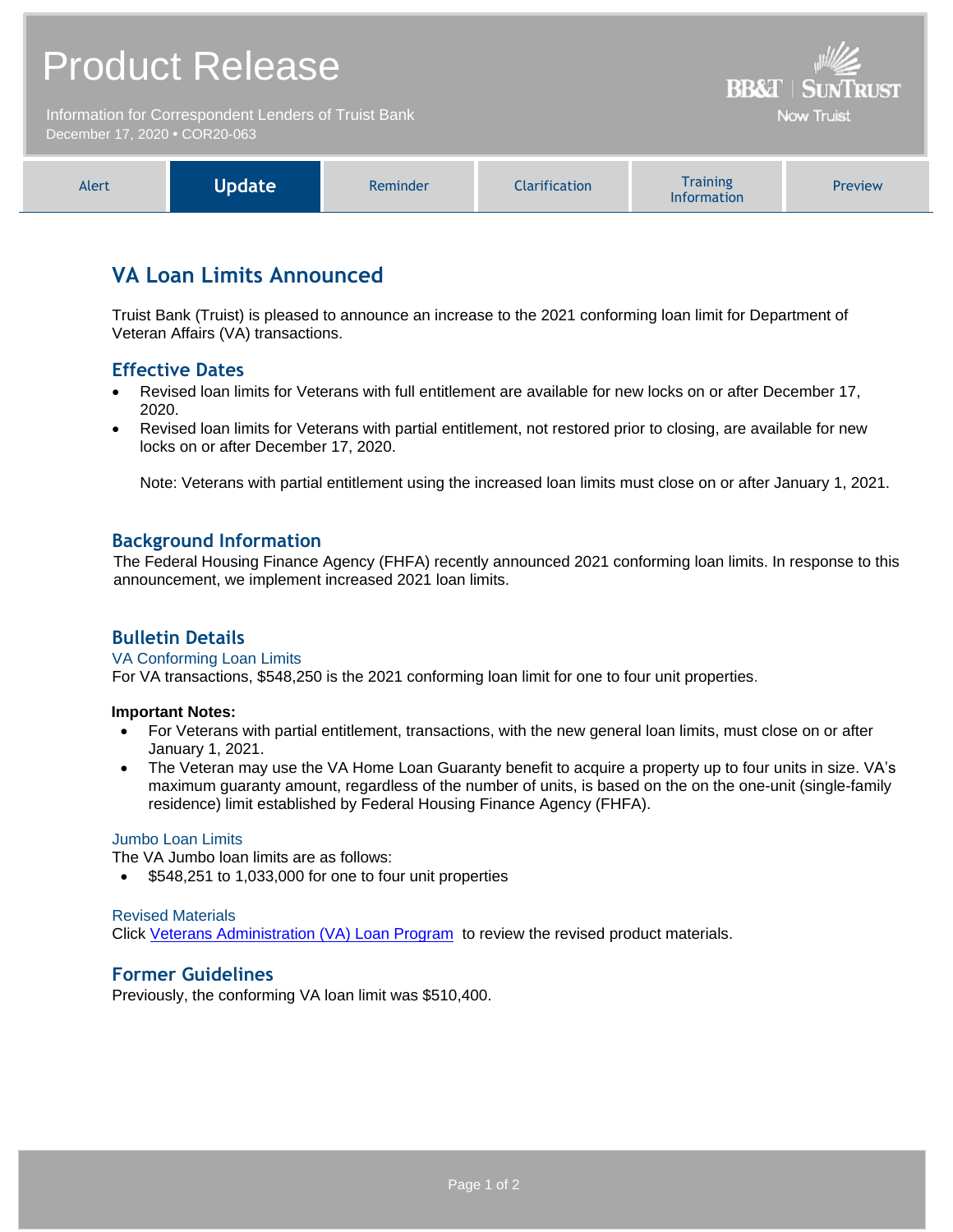# Product Release

Information for Correspondent Lenders of Truist Bank December 17, 2020 **•** COR20-063

| Vodate<br><b>Information</b> |
|------------------------------|
|------------------------------|

**BB&T | SUNTRUST** Now Truist

## **VA Loan Limits Announced**

Truist Bank (Truist) is pleased to announce an increase to the 2021 conforming loan limit for Department of Veteran Affairs (VA) transactions.

## **Effective Dates**

- Revised loan limits for Veterans with full entitlement are available for new locks on or after December 17, 2020.
- Revised loan limits for Veterans with partial entitlement, not restored prior to closing, are available for new locks on or after December 17, 2020.

Note: Veterans with partial entitlement using the increased loan limits must close on or after January 1, 2021.

#### **Background Information**

The Federal Housing Finance Agency (FHFA) recently announced 2021 conforming loan limits. In response to this announcement, we implement increased 2021 loan limits.

### **Bulletin Details**

#### VA Conforming Loan Limits

For VA transactions, \$548,250 is the 2021 conforming loan limit for one to four unit properties.

#### **Important Notes:**

- For Veterans with partial entitlement, transactions, with the new general loan limits, must close on or after January 1, 2021.
- The Veteran may use the VA Home Loan Guaranty benefit to acquire a property up to four units in size. VA's maximum guaranty amount, regardless of the number of units, is based on the on the one-unit (single-family residence) limit established by Federal Housing Finance Agency (FHFA).

#### Jumbo Loan Limits

The VA Jumbo loan limits are as follows:

 $\bullet$  \$548,251 to 1,033,000 for one to four unit properties

#### Revised Materials

Click [Veterans Administration \(VA\) Loan Program](https://www.truistsellerguide.com/manual/cor/products/cVA.pdf) to review the revised product materials.

#### **Former Guidelines**

Previously, the conforming VA loan limit was \$510,400.